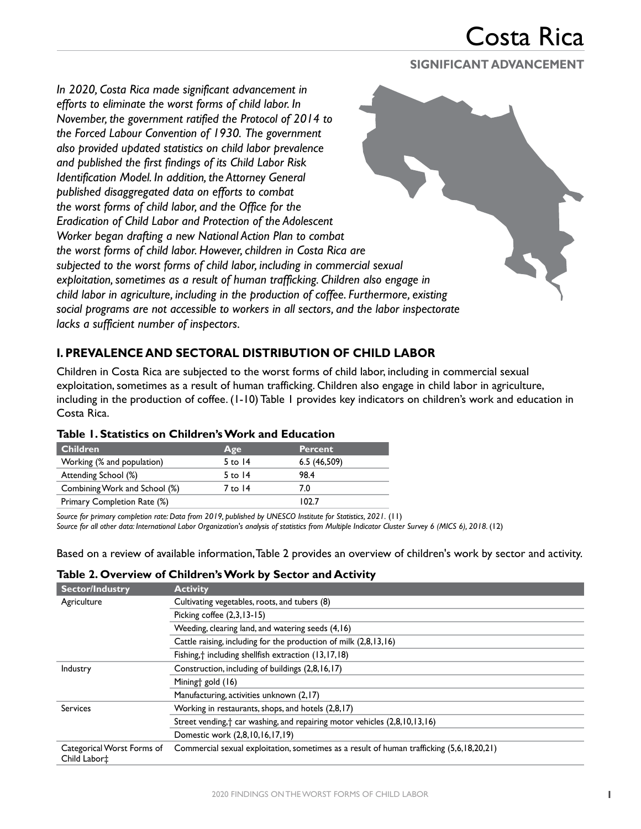#### **SIGNIFICANT ADVANCEMENT**

*In 2020, Costa Rica made significant advancement in efforts to eliminate the worst forms of child labor. In November, the government ratified the Protocol of 2014 to the Forced Labour Convention of 1930. The government also provided updated statistics on child labor prevalence and published the first findings of its Child Labor Risk Identification Model. In addition, the Attorney General published disaggregated data on efforts to combat the worst forms of child labor, and the Office for the Eradication of Child Labor and Protection of the Adolescent Worker began drafting a new National Action Plan to combat the worst forms of child labor. However, children in Costa Rica are subjected to the worst forms of child labor, including in commercial sexual exploitation, sometimes as a result of human trafficking. Children also engage in child labor in agriculture, including in the production of coffee. Furthermore, existing social programs are not accessible to workers in all sectors, and the labor inspectorate lacks a sufficient number of inspectors.*

### **I. PREVALENCE AND SECTORAL DISTRIBUTION OF CHILD LABOR**

Children in Costa Rica are subjected to the worst forms of child labor, including in commercial sexual exploitation, sometimes as a result of human trafficking. Children also engage in child labor in agriculture, including in the production of coffee. (1-10) Table 1 provides key indicators on children's work and education in Costa Rica.

| <b>Children</b>               | Age       | <b>Percent</b> |  |
|-------------------------------|-----------|----------------|--|
| Working (% and population)    | 5 to $14$ | 6.5(46,509)    |  |
| Attending School (%)          | 5 to $14$ | 98.4           |  |
| Combining Work and School (%) | 7 to 14   | 7.0            |  |
| Primary Completion Rate (%)   |           | 102.7          |  |

### **Table 1. Statistics on Children's Work and Education**

*Source for primary completion rate: Data from 2019, published by UNESCO Institute for Statistics, 2021.* (11) *Source for all other data: International Labor Organization's analysis of statistics from Multiple Indicator Cluster Survey 6 (MICS 6), 2018.* (12)

Based on a review of available information, Table 2 provides an overview of children's work by sector and activity.

#### **Table 2. Overview of Children's Work by Sector and Activity**

| <b>Sector/Industry</b>                                 | <b>Activity</b>                                                                           |
|--------------------------------------------------------|-------------------------------------------------------------------------------------------|
| Agriculture                                            | Cultivating vegetables, roots, and tubers (8)                                             |
|                                                        | Picking coffee $(2,3,13-15)$                                                              |
|                                                        | Weeding, clearing land, and watering seeds (4,16)                                         |
|                                                        | Cattle raising, including for the production of milk (2,8,13,16)                          |
|                                                        | Fishing, <sup>+</sup> including shellfish extraction (13,17,18)                           |
| Industry                                               | Construction, including of buildings (2,8,16,17)                                          |
|                                                        | Miningt gold (16)                                                                         |
|                                                        | Manufacturing, activities unknown (2,17)                                                  |
| <b>Services</b>                                        | Working in restaurants, shops, and hotels (2,8,17)                                        |
|                                                        | Street vending, <sup>†</sup> car washing, and repairing motor vehicles (2,8,10,13,16)     |
|                                                        | Domestic work (2,8,10,16,17,19)                                                           |
| Categorical Worst Forms of<br>Child Labor <sup>+</sup> | Commercial sexual exploitation, sometimes as a result of human trafficking (5,6,18,20,21) |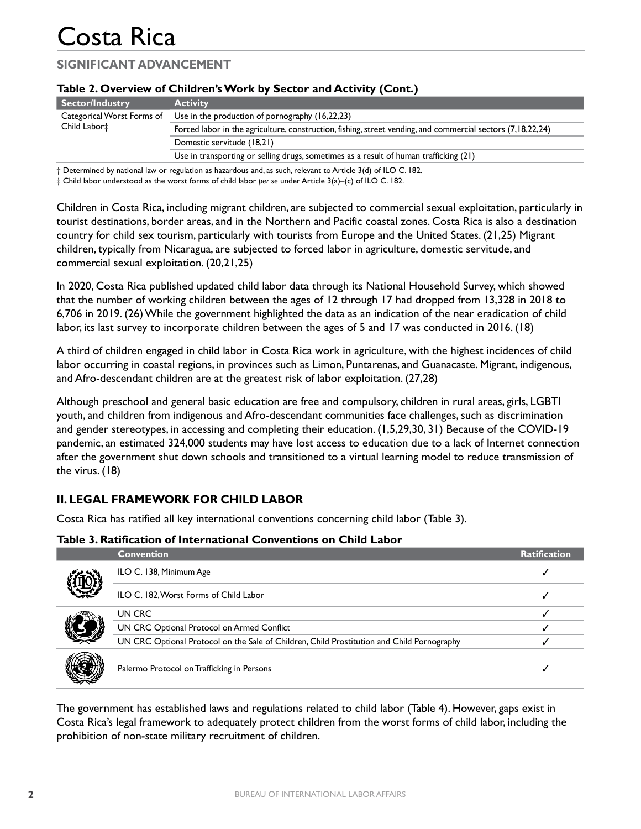## **SIGNIFICANT ADVANCEMENT**

|                                                        | Table 2. Over you changed 3 your by Sector and Activity (Cont.)                                                                                                                                                                                                                                             |
|--------------------------------------------------------|-------------------------------------------------------------------------------------------------------------------------------------------------------------------------------------------------------------------------------------------------------------------------------------------------------------|
| <b>Sector/Industry</b>                                 | <b>Activity</b>                                                                                                                                                                                                                                                                                             |
| Categorical Worst Forms of<br>Child Labor <sup>+</sup> | Use in the production of pornography (16,22,23)                                                                                                                                                                                                                                                             |
|                                                        | Forced labor in the agriculture, construction, fishing, street vending, and commercial sectors (7,18,22,24)                                                                                                                                                                                                 |
|                                                        | Domestic servitude (18,21)                                                                                                                                                                                                                                                                                  |
|                                                        | Use in transporting or selling drugs, sometimes as a result of human trafficking $(21)$                                                                                                                                                                                                                     |
|                                                        | $\mathbf{r}$ , $\mathbf{r}$ , $\mathbf{r}$ , $\mathbf{r}$ , $\mathbf{r}$ , $\mathbf{r}$ , $\mathbf{r}$ , $\mathbf{r}$ , $\mathbf{r}$ , $\mathbf{r}$ , $\mathbf{r}$ , $\mathbf{r}$ , $\mathbf{r}$ , $\mathbf{r}$ , $\mathbf{r}$ , $\mathbf{r}$ , $\mathbf{r}$ , $\mathbf{r}$ , $\mathbf{r}$ , $\mathbf{r}$ , |

#### **Table 2. Overview of Children's Work by Sector and Activity (Cont.)**

† Determined by national law or regulation as hazardous and, as such, relevant to Article 3(d) of ILO C. 182.

‡ Child labor understood as the worst forms of child labor *per se* under Article 3(a)–(c) of ILO C. 182.

Children in Costa Rica, including migrant children, are subjected to commercial sexual exploitation, particularly in tourist destinations, border areas, and in the Northern and Pacific coastal zones. Costa Rica is also a destination country for child sex tourism, particularly with tourists from Europe and the United States. (21,25) Migrant children, typically from Nicaragua, are subjected to forced labor in agriculture, domestic servitude, and commercial sexual exploitation. (20,21,25)

In 2020, Costa Rica published updated child labor data through its National Household Survey, which showed that the number of working children between the ages of 12 through 17 had dropped from 13,328 in 2018 to 6,706 in 2019. (26) While the government highlighted the data as an indication of the near eradication of child labor, its last survey to incorporate children between the ages of 5 and 17 was conducted in 2016. (18)

A third of children engaged in child labor in Costa Rica work in agriculture, with the highest incidences of child labor occurring in coastal regions, in provinces such as Limon, Puntarenas, and Guanacaste. Migrant, indigenous, and Afro-descendant children are at the greatest risk of labor exploitation. (27,28)

Although preschool and general basic education are free and compulsory, children in rural areas, girls, LGBTI youth, and children from indigenous and Afro-descendant communities face challenges, such as discrimination and gender stereotypes, in accessing and completing their education. (1,5,29,30, 31) Because of the COVID-19 pandemic, an estimated 324,000 students may have lost access to education due to a lack of Internet connection after the government shut down schools and transitioned to a virtual learning model to reduce transmission of the virus. (18)

## **II. LEGAL FRAMEWORK FOR CHILD LABOR**

Costa Rica has ratified all key international conventions concerning child labor (Table 3).

#### **Table 3. Ratification of International Conventions on Child Labor**

|  | <b>Convention</b>                                                                          | <b>Ratification</b> |
|--|--------------------------------------------------------------------------------------------|---------------------|
|  | ILO C. 138, Minimum Age                                                                    |                     |
|  | ILO C. 182, Worst Forms of Child Labor                                                     |                     |
|  | UN CRC                                                                                     |                     |
|  | UN CRC Optional Protocol on Armed Conflict                                                 |                     |
|  | UN CRC Optional Protocol on the Sale of Children, Child Prostitution and Child Pornography |                     |
|  | Palermo Protocol on Trafficking in Persons                                                 |                     |

The government has established laws and regulations related to child labor (Table 4). However, gaps exist in Costa Rica's legal framework to adequately protect children from the worst forms of child labor, including the prohibition of non-state military recruitment of children.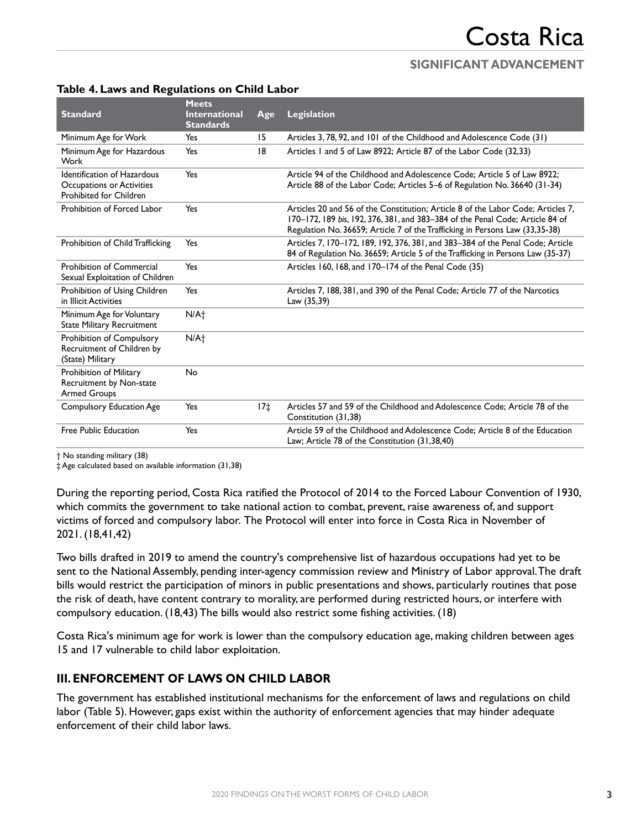| <b>Standard</b>                                                                                   | <b>Meets</b><br><b>International</b> | Age   | <b>Legislation</b>                                                                                                                                                                                                                                |
|---------------------------------------------------------------------------------------------------|--------------------------------------|-------|---------------------------------------------------------------------------------------------------------------------------------------------------------------------------------------------------------------------------------------------------|
|                                                                                                   | <b>Standards</b>                     |       |                                                                                                                                                                                                                                                   |
| Minimum Age for Work                                                                              | Yes                                  | 15    | Articles 3, 78, 92, and 101 of the Childhood and Adolescence Code (31)                                                                                                                                                                            |
| Minimum Age for Hazardous<br>Work                                                                 | Yes                                  | 8     | Articles 1 and 5 of Law 8922; Article 87 of the Labor Code (32,33)                                                                                                                                                                                |
| <b>Identification of Hazardous</b><br>Occupations or Activities<br><b>Prohibited for Children</b> | Yes                                  |       | Article 94 of the Childhood and Adolescence Code: Article 5 of Law 8922:<br>Article 88 of the Labor Code; Articles 5-6 of Regulation No. 36640 (31-34)                                                                                            |
| Prohibition of Forced Labor                                                                       | Yes                                  |       | Articles 20 and 56 of the Constitution; Article 8 of the Labor Code; Articles 7,<br>170-172, 189 bis, 192, 376, 381, and 383-384 of the Penal Code; Article 84 of<br>Regulation No. 36659; Article 7 of the Trafficking in Persons Law (33,35-38) |
| Prohibition of Child Trafficking                                                                  | Yes                                  |       | Articles 7, 170–172, 189, 192, 376, 381, and 383–384 of the Penal Code; Article<br>84 of Regulation No. 36659; Article 5 of the Trafficking in Persons Law (35-37)                                                                                |
| <b>Prohibition of Commercial</b><br>Sexual Exploitation of Children                               | Yes                                  |       | Articles 160, 168, and 170-174 of the Penal Code (35)                                                                                                                                                                                             |
| Prohibition of Using Children<br>in Illicit Activities                                            | Yes                                  |       | Articles 7, 188, 381, and 390 of the Penal Code; Article 77 of the Narcotics<br>Law (35,39)                                                                                                                                                       |
| Minimum Age for Voluntary<br><b>State Military Recruitment</b>                                    | N/A <sub>1</sub>                     |       |                                                                                                                                                                                                                                                   |
| Prohibition of Compulsory<br>Recruitment of Children by<br>(State) Military                       | N/A <sub>1</sub>                     |       |                                                                                                                                                                                                                                                   |
| Prohibition of Military<br>Recruitment by Non-state<br><b>Armed Groups</b>                        | No                                   |       |                                                                                                                                                                                                                                                   |
| <b>Compulsory Education Age</b>                                                                   | Yes                                  | $17+$ | Articles 57 and 59 of the Childhood and Adolescence Code: Article 78 of the<br>Constitution (31,38)                                                                                                                                               |
| <b>Free Public Education</b>                                                                      | Yes                                  |       | Article 59 of the Childhood and Adolescence Code: Article 8 of the Education<br>Law; Article 78 of the Constitution (31,38,40)                                                                                                                    |

#### **Table 4. Laws and Regulations on Child Labor**

† No standing military (38)

‡ Age calculated based on available information (31,38)

During the reporting period, Costa Rica ratified the Protocol of 2014 to the Forced Labour Convention of 1930, which commits the government to take national action to combat, prevent, raise awareness of, and support victims of forced and compulsory labor. The Protocol will enter into force in Costa Rica in November of 2021. (18,41,42)

Two bills drafted in 2019 to amend the country's comprehensive list of hazardous occupations had yet to be sent to the National Assembly, pending inter-agency commission review and Ministry of Labor approval. The draft bills would restrict the participation of minors in public presentations and shows, particularly routines that pose the risk of death, have content contrary to morality, are performed during restricted hours, or interfere with compulsory education. (18,43) The bills would also restrict some fishing activities. (18)

Costa Rica's minimum age for work is lower than the compulsory education age, making children between ages 15 and 17 vulnerable to child labor exploitation.

### **III. ENFORCEMENT OF LAWS ON CHILD LABOR**

The government has established institutional mechanisms for the enforcement of laws and regulations on child labor (Table 5). However, gaps exist within the authority of enforcement agencies that may hinder adequate enforcement of their child labor laws.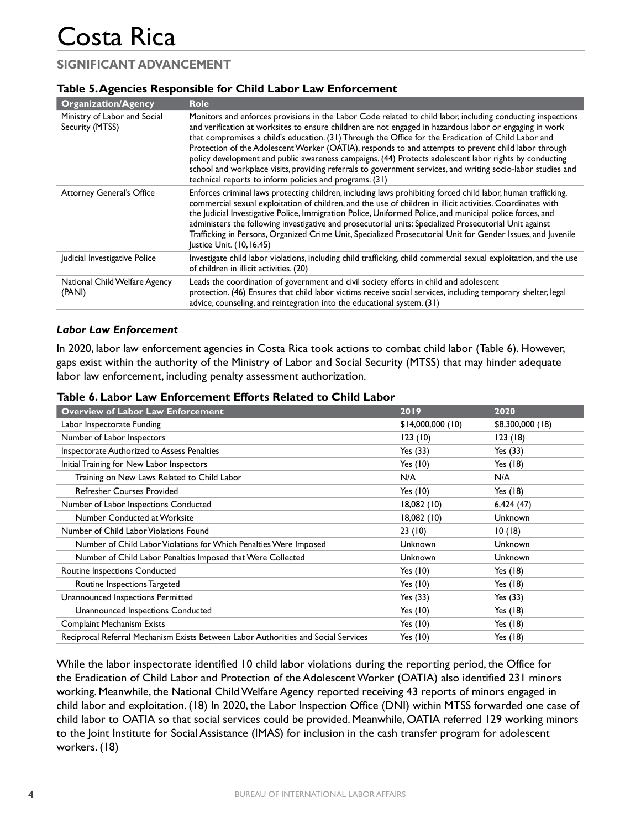## **SIGNIFICANT ADVANCEMENT**

#### **Table 5. Agencies Responsible for Child Labor Law Enforcement**

| <b>Organization/Agency</b>                      | <b>Role</b>                                                                                                                                                                                                                                                                                                                                                                                                                                                                                                                                                                                                                                                                                                                 |
|-------------------------------------------------|-----------------------------------------------------------------------------------------------------------------------------------------------------------------------------------------------------------------------------------------------------------------------------------------------------------------------------------------------------------------------------------------------------------------------------------------------------------------------------------------------------------------------------------------------------------------------------------------------------------------------------------------------------------------------------------------------------------------------------|
| Ministry of Labor and Social<br>Security (MTSS) | Monitors and enforces provisions in the Labor Code related to child labor, including conducting inspections<br>and verification at worksites to ensure children are not engaged in hazardous labor or engaging in work<br>that compromises a child's education. (31) Through the Office for the Eradication of Child Labor and<br>Protection of the Adolescent Worker (OATIA), responds to and attempts to prevent child labor through<br>policy development and public awareness campaigns. (44) Protects adolescent labor rights by conducting<br>school and workplace visits, providing referrals to government services, and writing socio-labor studies and<br>technical reports to inform policies and programs. (31) |
| <b>Attorney General's Office</b>                | Enforces criminal laws protecting children, including laws prohibiting forced child labor, human trafficking,<br>commercial sexual exploitation of children, and the use of children in illicit activities. Coordinates with<br>the Judicial Investigative Police, Immigration Police, Uniformed Police, and municipal police forces, and<br>administers the following investigative and prosecutorial units: Specialized Prosecutorial Unit against<br>Trafficking in Persons, Organized Crime Unit, Specialized Prosecutorial Unit for Gender Issues, and Juvenile<br>Justice Unit. (10,16,45)                                                                                                                            |
| Judicial Investigative Police                   | Investigate child labor violations, including child trafficking, child commercial sexual exploitation, and the use<br>of children in illicit activities. (20)                                                                                                                                                                                                                                                                                                                                                                                                                                                                                                                                                               |
| National Child Welfare Agency<br>(PANI)         | Leads the coordination of government and civil society efforts in child and adolescent<br>protection. (46) Ensures that child labor victims receive social services, including temporary shelter, legal<br>advice, counseling, and reintegration into the educational system. (31)                                                                                                                                                                                                                                                                                                                                                                                                                                          |

#### *Labor Law Enforcement*

In 2020, labor law enforcement agencies in Costa Rica took actions to combat child labor (Table 6). However, gaps exist within the authority of the Ministry of Labor and Social Security (MTSS) that may hinder adequate labor law enforcement, including penalty assessment authorization.

| Table 6. Labor Law Enforcement Efforts Related to Child Labor |  |
|---------------------------------------------------------------|--|
|---------------------------------------------------------------|--|

| <b>Overview of Labor Law Enforcement</b>                                           | 2019             | 2020             |
|------------------------------------------------------------------------------------|------------------|------------------|
| Labor Inspectorate Funding                                                         | \$14,000,000(10) | \$8,300,000 (18) |
| Number of Labor Inspectors                                                         | 123(10)          | 123(18)          |
| Inspectorate Authorized to Assess Penalties                                        | Yes (33)         | Yes (33)         |
| Initial Training for New Labor Inspectors                                          | Yes (10)         | Yes (18)         |
| Training on New Laws Related to Child Labor                                        | N/A              | N/A              |
| Refresher Courses Provided                                                         | Yes (10)         | Yes (18)         |
| Number of Labor Inspections Conducted                                              | 18,082(10)       | 6,424(47)        |
| Number Conducted at Worksite                                                       | 18,082(10)       | Unknown          |
| Number of Child Labor Violations Found                                             | 23(10)           | 10(18)           |
| Number of Child Labor Violations for Which Penalties Were Imposed                  | <b>Unknown</b>   | Unknown          |
| Number of Child Labor Penalties Imposed that Were Collected                        | Unknown          | Unknown          |
| Routine Inspections Conducted                                                      | Yes $(10)$       | Yes $(18)$       |
| Routine Inspections Targeted                                                       | Yes $(10)$       | Yes (18)         |
| Unannounced Inspections Permitted                                                  | Yes $(33)$       | Yes $(33)$       |
| Unannounced Inspections Conducted                                                  | Yes $(10)$       | Yes (18)         |
| Complaint Mechanism Exists                                                         | Yes $(10)$       | Yes $(18)$       |
| Reciprocal Referral Mechanism Exists Between Labor Authorities and Social Services | Yes $(10)$       | Yes (18)         |

While the labor inspectorate identified 10 child labor violations during the reporting period, the Office for the Eradication of Child Labor and Protection of the Adolescent Worker (OATIA) also identified 231 minors working. Meanwhile, the National Child Welfare Agency reported receiving 43 reports of minors engaged in child labor and exploitation. (18) In 2020, the Labor Inspection Office (DNI) within MTSS forwarded one case of child labor to OATIA so that social services could be provided. Meanwhile, OATIA referred 129 working minors to the Joint Institute for Social Assistance (IMAS) for inclusion in the cash transfer program for adolescent workers. (18)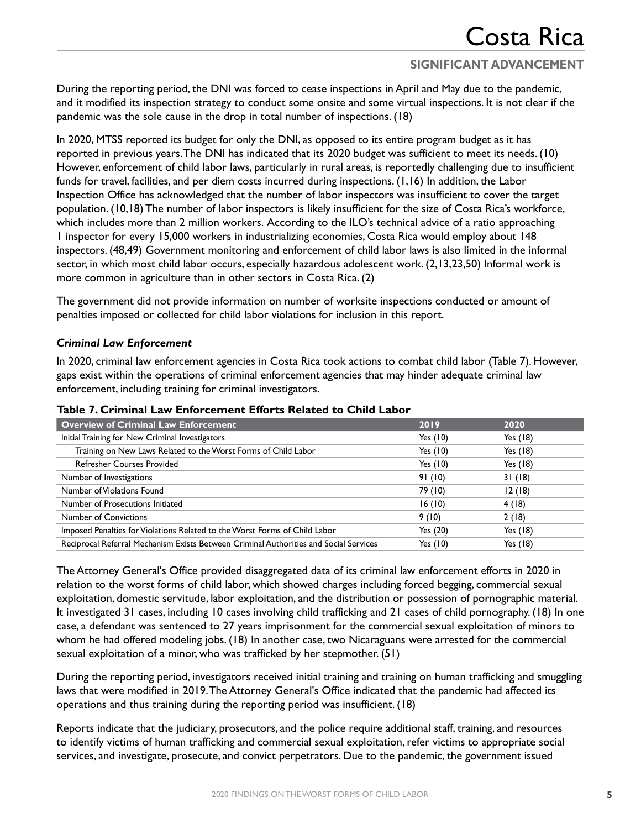During the reporting period, the DNI was forced to cease inspections in April and May due to the pandemic, and it modified its inspection strategy to conduct some onsite and some virtual inspections. It is not clear if the pandemic was the sole cause in the drop in total number of inspections. (18)

In 2020, MTSS reported its budget for only the DNI, as opposed to its entire program budget as it has reported in previous years. The DNI has indicated that its 2020 budget was sufficient to meet its needs. (10) However, enforcement of child labor laws, particularly in rural areas, is reportedly challenging due to insufficient funds for travel, facilities, and per diem costs incurred during inspections. (1,16) In addition, the Labor Inspection Office has acknowledged that the number of labor inspectors was insufficient to cover the target population. (10,18) The number of labor inspectors is likely insufficient for the size of Costa Rica's workforce, which includes more than 2 million workers. According to the ILO's technical advice of a ratio approaching 1 inspector for every 15,000 workers in industrializing economies, Costa Rica would employ about 148 inspectors. (48,49) Government monitoring and enforcement of child labor laws is also limited in the informal sector, in which most child labor occurs, especially hazardous adolescent work. (2,13,23,50) Informal work is more common in agriculture than in other sectors in Costa Rica. (2)

The government did not provide information on number of worksite inspections conducted or amount of penalties imposed or collected for child labor violations for inclusion in this report.

#### *Criminal Law Enforcement*

In 2020, criminal law enforcement agencies in Costa Rica took actions to combat child labor (Table 7). However, gaps exist within the operations of criminal enforcement agencies that may hinder adequate criminal law enforcement, including training for criminal investigators.

| <b>Overview of Criminal Law Enforcement</b>                                           | 2019       | 2020       |
|---------------------------------------------------------------------------------------|------------|------------|
| Initial Training for New Criminal Investigators                                       | Yes $(10)$ | Yes $(18)$ |
| Training on New Laws Related to the Worst Forms of Child Labor                        | Yes (10)   | Yes $(18)$ |
| <b>Refresher Courses Provided</b>                                                     | Yes $(10)$ | Yes $(18)$ |
| Number of Investigations                                                              | 91(10)     | 31(18)     |
| Number of Violations Found                                                            | 79 (10)    | 12(18)     |
| Number of Prosecutions Initiated                                                      | 16(10)     | 4(18)      |
| <b>Number of Convictions</b>                                                          | 9(10)      | 2(18)      |
| Imposed Penalties for Violations Related to the Worst Forms of Child Labor            | Yes (20)   | Yes $(18)$ |
| Reciprocal Referral Mechanism Exists Between Criminal Authorities and Social Services | Yes $(10)$ | Yes $(18)$ |

#### **Table 7. Criminal Law Enforcement Efforts Related to Child Labor**

The Attorney General's Office provided disaggregated data of its criminal law enforcement efforts in 2020 in relation to the worst forms of child labor, which showed charges including forced begging, commercial sexual exploitation, domestic servitude, labor exploitation, and the distribution or possession of pornographic material. It investigated 31 cases, including 10 cases involving child trafficking and 21 cases of child pornography. (18) In one case, a defendant was sentenced to 27 years imprisonment for the commercial sexual exploitation of minors to whom he had offered modeling jobs. (18) In another case, two Nicaraguans were arrested for the commercial sexual exploitation of a minor, who was trafficked by her stepmother. (51)

During the reporting period, investigators received initial training and training on human trafficking and smuggling laws that were modified in 2019. The Attorney General's Office indicated that the pandemic had affected its operations and thus training during the reporting period was insufficient. (18)

Reports indicate that the judiciary, prosecutors, and the police require additional staff, training, and resources to identify victims of human trafficking and commercial sexual exploitation, refer victims to appropriate social services, and investigate, prosecute, and convict perpetrators. Due to the pandemic, the government issued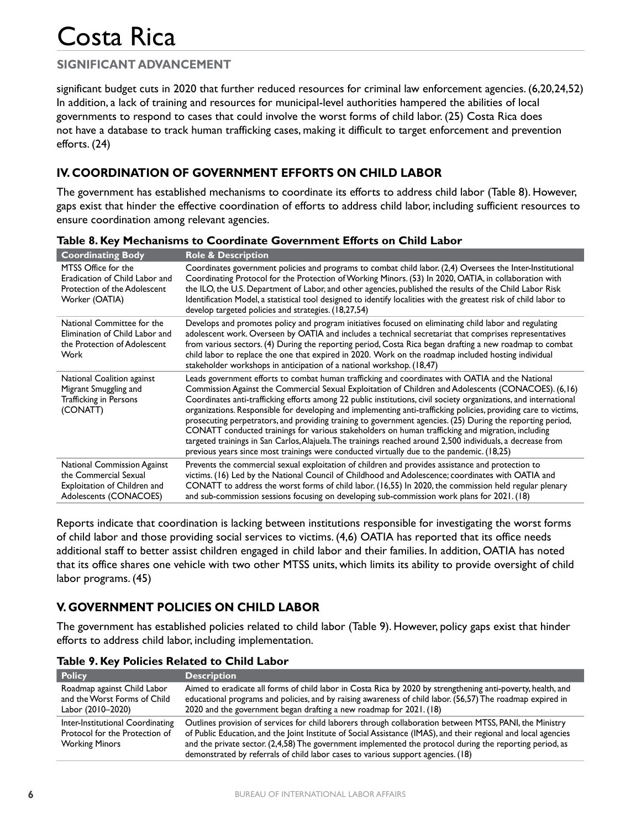## **SIGNIFICANT ADVANCEMENT**

significant budget cuts in 2020 that further reduced resources for criminal law enforcement agencies. (6,20,24,52) In addition, a lack of training and resources for municipal-level authorities hampered the abilities of local governments to respond to cases that could involve the worst forms of child labor. (25) Costa Rica does not have a database to track human trafficking cases, making it difficult to target enforcement and prevention efforts. (24)

## **IV. COORDINATION OF GOVERNMENT EFFORTS ON CHILD LABOR**

The government has established mechanisms to coordinate its efforts to address child labor (Table 8). However, gaps exist that hinder the effective coordination of efforts to address child labor, including sufficient resources to ensure coordination among relevant agencies.

| <b>Coordinating Body</b>                                                                                              | <b>Role &amp; Description</b>                                                                                                                                                                                                                                                                                                                                                                                                                                                                                                                                                                                                                                                                                                                                                                                                                                                    |
|-----------------------------------------------------------------------------------------------------------------------|----------------------------------------------------------------------------------------------------------------------------------------------------------------------------------------------------------------------------------------------------------------------------------------------------------------------------------------------------------------------------------------------------------------------------------------------------------------------------------------------------------------------------------------------------------------------------------------------------------------------------------------------------------------------------------------------------------------------------------------------------------------------------------------------------------------------------------------------------------------------------------|
| MTSS Office for the<br>Eradication of Child Labor and<br>Protection of the Adolescent<br>Worker (OATIA)               | Coordinates government policies and programs to combat child labor. (2,4) Oversees the Inter-Institutional<br>Coordinating Protocol for the Protection of Working Minors. (53) In 2020, OATIA, in collaboration with<br>the ILO, the U.S. Department of Labor, and other agencies, published the results of the Child Labor Risk<br>Identification Model, a statistical tool designed to identify localities with the greatest risk of child labor to<br>develop targeted policies and strategies. (18,27,54)                                                                                                                                                                                                                                                                                                                                                                    |
| National Committee for the<br>Elimination of Child Labor and<br>the Protection of Adolescent<br>Work                  | Develops and promotes policy and program initiatives focused on eliminating child labor and regulating<br>adolescent work. Overseen by OATIA and includes a technical secretariat that comprises representatives<br>from various sectors. (4) During the reporting period, Costa Rica began drafting a new roadmap to combat<br>child labor to replace the one that expired in 2020. Work on the roadmap included hosting individual<br>stakeholder workshops in anticipation of a national workshop. (18,47)                                                                                                                                                                                                                                                                                                                                                                    |
| National Coalition against<br>Migrant Smuggling and<br><b>Trafficking in Persons</b><br>(CONATT)                      | Leads government efforts to combat human trafficking and coordinates with OATIA and the National<br>Commission Against the Commercial Sexual Exploitation of Children and Adolescents (CONACOES). (6,16)<br>Coordinates anti-trafficking efforts among 22 public institutions, civil society organizations, and international<br>organizations. Responsible for developing and implementing anti-trafficking policies, providing care to victims,<br>prosecuting perpetrators, and providing training to government agencies. (25) During the reporting period,<br>CONATT conducted trainings for various stakeholders on human trafficking and migration, including<br>targeted trainings in San Carlos, Alajuela. The trainings reached around 2,500 individuals, a decrease from<br>previous years since most trainings were conducted virtually due to the pandemic. (18,25) |
| <b>National Commission Against</b><br>the Commercial Sexual<br>Exploitation of Children and<br>Adolescents (CONACOES) | Prevents the commercial sexual exploitation of children and provides assistance and protection to<br>victims. (16) Led by the National Council of Childhood and Adolescence; coordinates with OATIA and<br>CONATT to address the worst forms of child labor. (16,55) In 2020, the commission held regular plenary<br>and sub-commission sessions focusing on developing sub-commission work plans for 2021. (18)                                                                                                                                                                                                                                                                                                                                                                                                                                                                 |

**Table 8. Key Mechanisms to Coordinate Government Efforts on Child Labor**

Reports indicate that coordination is lacking between institutions responsible for investigating the worst forms of child labor and those providing social services to victims. (4,6) OATIA has reported that its office needs additional staff to better assist children engaged in child labor and their families. In addition, OATIA has noted that its office shares one vehicle with two other MTSS units, which limits its ability to provide oversight of child labor programs. (45)

## **V. GOVERNMENT POLICIES ON CHILD LABOR**

The government has established policies related to child labor (Table 9). However, policy gaps exist that hinder efforts to address child labor, including implementation.

| <b>Policy</b>                                                                               | <b>Description</b>                                                                                                                                                                                                                                                                                                                                                                                                          |
|---------------------------------------------------------------------------------------------|-----------------------------------------------------------------------------------------------------------------------------------------------------------------------------------------------------------------------------------------------------------------------------------------------------------------------------------------------------------------------------------------------------------------------------|
| Roadmap against Child Labor<br>and the Worst Forms of Child<br>Labor (2010–2020)            | Aimed to eradicate all forms of child labor in Costa Rica by 2020 by strengthening anti-poverty, health, and<br>educational programs and policies, and by raising awareness of child labor. (56,57) The roadmap expired in<br>2020 and the government began drafting a new roadmap for 2021. (18)                                                                                                                           |
| Inter-Institutional Coordinating<br>Protocol for the Protection of<br><b>Working Minors</b> | Outlines provision of services for child laborers through collaboration between MTSS, PANI, the Ministry<br>of Public Education, and the Joint Institute of Social Assistance (IMAS), and their regional and local agencies<br>and the private sector. (2,4,58) The government implemented the protocol during the reporting period, as<br>demonstrated by referrals of child labor cases to various support agencies. (18) |

**Table 9. Key Policies Related to Child Labor**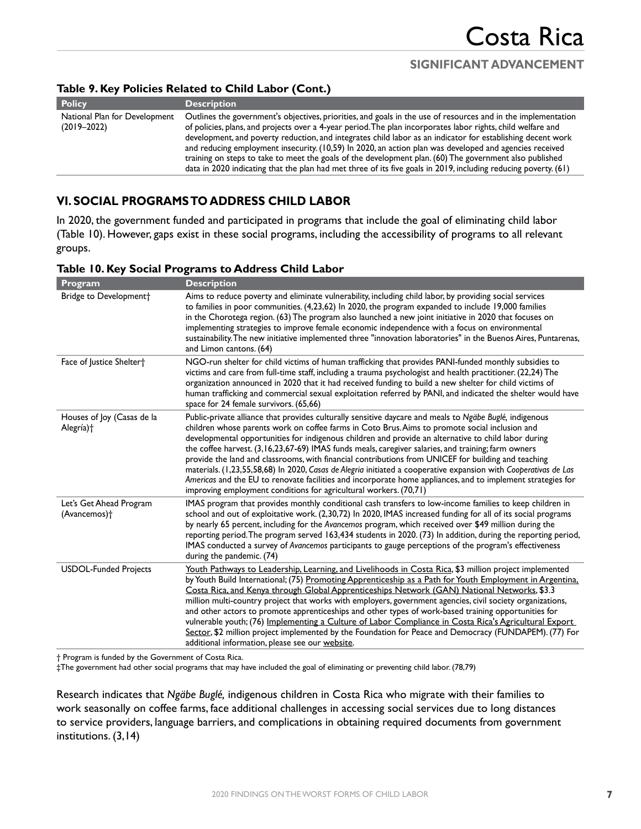#### **Table 9. Key Policies Related to Child Labor (Cont.)**

| <b>Policy</b>                                    | <b>Description</b>                                                                                                                                                                                                                                                                                                                                                                                                                                                                                                                                                                                                                                                                    |
|--------------------------------------------------|---------------------------------------------------------------------------------------------------------------------------------------------------------------------------------------------------------------------------------------------------------------------------------------------------------------------------------------------------------------------------------------------------------------------------------------------------------------------------------------------------------------------------------------------------------------------------------------------------------------------------------------------------------------------------------------|
| National Plan for Development<br>$(2019 - 2022)$ | Outlines the government's objectives, priorities, and goals in the use of resources and in the implementation<br>of policies, plans, and projects over a 4-year period. The plan incorporates labor rights, child welfare and<br>development, and poverty reduction, and integrates child labor as an indicator for establishing decent work<br>and reducing employment insecurity. (10,59) In 2020, an action plan was developed and agencies received<br>training on steps to take to meet the goals of the development plan. (60) The government also published<br>data in 2020 indicating that the plan had met three of its five goals in 2019, including reducing poverty. (61) |
|                                                  |                                                                                                                                                                                                                                                                                                                                                                                                                                                                                                                                                                                                                                                                                       |

## **VI. SOCIAL PROGRAMS TO ADDRESS CHILD LABOR**

In 2020, the government funded and participated in programs that include the goal of eliminating child labor (Table 10). However, gaps exist in these social programs, including the accessibility of programs to all relevant groups.

| Program                                             | <b>Description</b>                                                                                                                                                                                                                                                                                                                                                                                                                                                                                                                                                                                                                                                                                                                                                                                                                     |  |
|-----------------------------------------------------|----------------------------------------------------------------------------------------------------------------------------------------------------------------------------------------------------------------------------------------------------------------------------------------------------------------------------------------------------------------------------------------------------------------------------------------------------------------------------------------------------------------------------------------------------------------------------------------------------------------------------------------------------------------------------------------------------------------------------------------------------------------------------------------------------------------------------------------|--|
| Bridge to Development <sup>+</sup>                  | Aims to reduce poverty and eliminate vulnerability, including child labor, by providing social services<br>to families in poor communities. (4,23,62) In 2020, the program expanded to include 19,000 families<br>in the Chorotega region. (63) The program also launched a new joint initiative in 2020 that focuses on<br>implementing strategies to improve female economic independence with a focus on environmental<br>sustainability. The new initiative implemented three "innovation laboratories" in the Buenos Aires, Puntarenas,<br>and Limon cantons. (64)                                                                                                                                                                                                                                                                |  |
| Face of Justice Shelter†                            | NGO-run shelter for child victims of human trafficking that provides PANI-funded monthly subsidies to<br>victims and care from full-time staff, including a trauma psychologist and health practitioner. (22,24) The<br>organization announced in 2020 that it had received funding to build a new shelter for child victims of<br>human trafficking and commercial sexual exploitation referred by PANI, and indicated the shelter would have<br>space for 24 female survivors. (65,66)                                                                                                                                                                                                                                                                                                                                               |  |
| Houses of Joy (Casas de la<br>Alegría)†             | Public-private alliance that provides culturally sensitive daycare and meals to Ngäbe Buglé, indigenous<br>children whose parents work on coffee farms in Coto Brus. Aims to promote social inclusion and<br>developmental opportunities for indigenous children and provide an alternative to child labor during<br>the coffee harvest. (3,16,23,67-69) IMAS funds meals, caregiver salaries, and training; farm owners<br>provide the land and classrooms, with financial contributions from UNICEF for building and teaching<br>materials. (1,23,55,58,68) In 2020, Casas de Alegria initiated a cooperative expansion with Cooperativas de Las<br>Americas and the EU to renovate facilities and incorporate home appliances, and to implement strategies for<br>improving employment conditions for agricultural workers. (70,71) |  |
| Let's Get Ahead Program<br>(Avancemos) <sup>+</sup> | IMAS program that provides monthly conditional cash transfers to low-income families to keep children in<br>school and out of exploitative work. (2,30,72) In 2020, IMAS increased funding for all of its social programs<br>by nearly 65 percent, including for the Avancemos program, which received over \$49 million during the<br>reporting period. The program served 163,434 students in 2020. (73) In addition, during the reporting period,<br>IMAS conducted a survey of Avancemos participants to gauge perceptions of the program's effectiveness<br>during the pandemic. (74)                                                                                                                                                                                                                                             |  |
| <b>USDOL-Funded Projects</b>                        | Youth Pathways to Leadership, Learning, and Livelihoods in Costa Rica, \$3 million project implemented<br>by Youth Build International; (75) Promoting Apprenticeship as a Path for Youth Employment in Argentina.<br>Costa Rica, and Kenya through Global Apprenticeships Network (GAN) National Networks, \$3.3<br>million multi-country project that works with employers, government agencies, civil society organizations,<br>and other actors to promote apprenticeships and other types of work-based training opportunities for<br>vulnerable youth; (76) Implementing a Culture of Labor Compliance in Costa Rica's Agricultural Export<br>Sector, \$2 million project implemented by the Foundation for Peace and Democracy (FUNDAPEM). (77) For<br>additional information, please see our website.                          |  |

#### **Table 10. Key Social Programs to Address Child Labor**

† Program is funded by the Government of Costa Rica.

‡The government had other social programs that may have included the goal of eliminating or preventing child labor. (78,79)

Research indicates that *Ngäbe Buglé,* indigenous children in Costa Rica who migrate with their families to work seasonally on coffee farms, face additional challenges in accessing social services due to long distances to service providers, language barriers, and complications in obtaining required documents from government institutions. (3,14)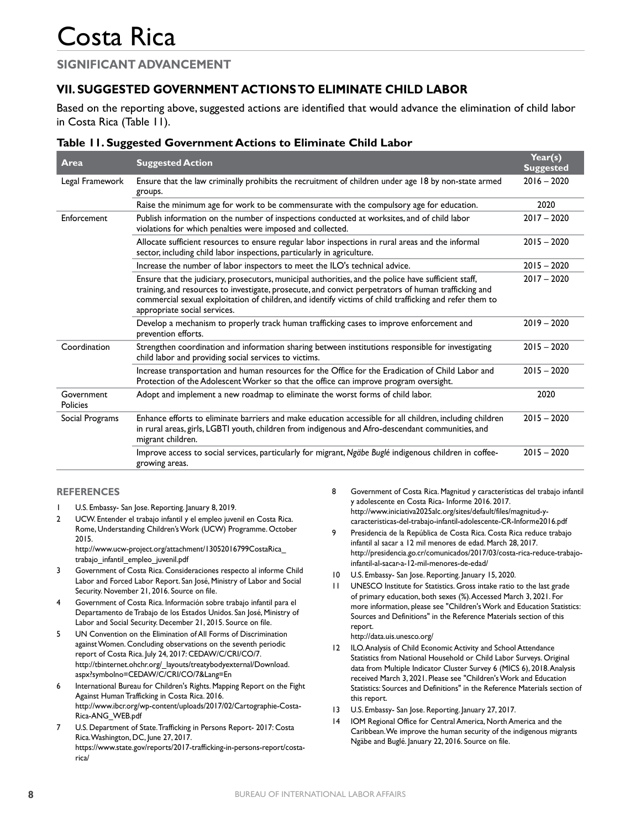### **SIGNIFICANT ADVANCEMENT**

## **VII. SUGGESTED GOVERNMENT ACTIONS TO ELIMINATE CHILD LABOR**

Based on the reporting above, suggested actions are identified that would advance the elimination of child labor in Costa Rica (Table 11).

#### **Table 11. Suggested Government Actions to Eliminate Child Labor**

| Area                          | <b>Suggested Action</b>                                                                                                                                                                                                                                                                                                                                 | Year(s)<br><b>Suggested</b> |
|-------------------------------|---------------------------------------------------------------------------------------------------------------------------------------------------------------------------------------------------------------------------------------------------------------------------------------------------------------------------------------------------------|-----------------------------|
| Legal Framework               | Ensure that the law criminally prohibits the recruitment of children under age 18 by non-state armed<br>groups.                                                                                                                                                                                                                                         | $2016 - 2020$               |
|                               | Raise the minimum age for work to be commensurate with the compulsory age for education.                                                                                                                                                                                                                                                                | 2020                        |
| Enforcement                   | Publish information on the number of inspections conducted at worksites, and of child labor<br>violations for which penalties were imposed and collected.                                                                                                                                                                                               | $2017 - 2020$               |
|                               | Allocate sufficient resources to ensure regular labor inspections in rural areas and the informal<br>sector, including child labor inspections, particularly in agriculture.                                                                                                                                                                            | $2015 - 2020$               |
|                               | Increase the number of labor inspectors to meet the ILO's technical advice.                                                                                                                                                                                                                                                                             | $2015 - 2020$               |
|                               | Ensure that the judiciary, prosecutors, municipal authorities, and the police have sufficient staff,<br>training, and resources to investigate, prosecute, and convict perpetrators of human trafficking and<br>commercial sexual exploitation of children, and identify victims of child trafficking and refer them to<br>appropriate social services. | $2017 - 2020$               |
|                               | Develop a mechanism to properly track human trafficking cases to improve enforcement and<br>prevention efforts.                                                                                                                                                                                                                                         | $2019 - 2020$               |
| Coordination                  | Strengthen coordination and information sharing between institutions responsible for investigating<br>child labor and providing social services to victims.                                                                                                                                                                                             | $2015 - 2020$               |
|                               | Increase transportation and human resources for the Office for the Eradication of Child Labor and<br>Protection of the Adolescent Worker so that the office can improve program oversight.                                                                                                                                                              | $2015 - 2020$               |
| Government<br><b>Policies</b> | Adopt and implement a new roadmap to eliminate the worst forms of child labor.                                                                                                                                                                                                                                                                          | 2020                        |
| Social Programs               | Enhance efforts to eliminate barriers and make education accessible for all children, including children<br>in rural areas, girls, LGBTI youth, children from indigenous and Afro-descendant communities, and<br>migrant children.                                                                                                                      | $2015 - 2020$               |
|                               | Improve access to social services, particularly for migrant, Ngäbe Buglé indigenous children in coffee-<br>growing areas.                                                                                                                                                                                                                               | $2015 - 2020$               |

#### **REFERENCES**

- 1 U.S. Embassy- San Jose. Reporting. January 8, 2019.
- 2 UCW. Entender el trabajo infantil y el empleo juvenil en Costa Rica. Rome, Understanding Children's Work (UCW) Programme. October 2015.

[http://www.ucw-project.org/attachment/13052016799CostaRica\\_](http://www.ucw-project.org/attachment/13052016799CostaRica_trabajo_infantil_empleo_juvenil.pdf) [trabajo\\_infantil\\_empleo\\_juvenil.pdf](http://www.ucw-project.org/attachment/13052016799CostaRica_trabajo_infantil_empleo_juvenil.pdf)

- 3 Government of Costa Rica. Consideraciones respecto al informe Child Labor and Forced Labor Report. San José, Ministry of Labor and Social Security. November 21, 2016. Source on file.
- 4 Government of Costa Rica. Información sobre trabajo infantil para el Departamento de Trabajo de los Estados Unidos. San José, Ministry of Labor and Social Security. December 21, 2015. Source on file.
- 5 UN Convention on the Elimination of All Forms of Discrimination against Women. Concluding observations on the seventh periodic report of Costa Rica. July 24, 2017: CEDAW/C/CRI/CO/7. [http://tbinternet.ohchr.org/\\_layouts/treatybodyexternal/Download.](http://tbinternet.ohchr.org/_layouts/treatybodyexternal/Download.aspx?symbolno=CEDAW/C/CRI/CO/7&Lang=En) [aspx?symbolno=CEDAW/C/CRI/CO/7&Lang=En](http://tbinternet.ohchr.org/_layouts/treatybodyexternal/Download.aspx?symbolno=CEDAW/C/CRI/CO/7&Lang=En)
- 6 International Bureau for Children's Rights. Mapping Report on the Fight Against Human Trafficking in Costa Rica. 2016. [http://www.ibcr.org/wp-content/uploads/2017/02/Cartographie-Costa-](http://www.ibcr.org/wp-content/uploads/2017/02/Cartographie-Costa-Rica-ANG_WEB.pdf)[Rica-ANG\\_WEB.pdf](http://www.ibcr.org/wp-content/uploads/2017/02/Cartographie-Costa-Rica-ANG_WEB.pdf)
- 7 U.S. Department of State. Trafficking in Persons Report- 2017: Costa Rica. Washington, DC, June 27, 2017. [https://www.state.gov/reports/2017-trafficking-in-persons-report/costa](https://www.state.gov/reports/2017-trafficking-in-persons-report/costa-rica/)[rica/](https://www.state.gov/reports/2017-trafficking-in-persons-report/costa-rica/)
- 8 Government of Costa Rica. Magnitud y características del trabajo infantil y adolescente en Costa Rica- Informe 2016. 2017. [http://www.iniciativa2025alc.org/sites/default/files/magnitud-y](http://www.iniciativa2025alc.org/sites/default/files/magnitud-y-caracteristicas-del-trabajo-infantil-adolescente-CR-Informe2016.pdf)[caracteristicas-del-trabajo-infantil-adolescente-CR-Informe2016.pdf](http://www.iniciativa2025alc.org/sites/default/files/magnitud-y-caracteristicas-del-trabajo-infantil-adolescente-CR-Informe2016.pdf)
- 9 Presidencia de la República de Costa Rica. Costa Rica reduce trabajo infantil al sacar a 12 mil menores de edad. March 28, 2017. [http://presidencia.go.cr/comunicados/2017/03/costa-rica-reduce-trabajo](http://presidencia.go.cr/comunicados/2017/03/costa-rica-reduce-trabajo-infantil-al-sacar-a-12-mil-menores-de-edad/)[infantil-al-sacar-a-12-mil-menores-de-edad/](http://presidencia.go.cr/comunicados/2017/03/costa-rica-reduce-trabajo-infantil-al-sacar-a-12-mil-menores-de-edad/)
- 10 U.S. Embassy- San Jose. Reporting. January 15, 2020.
- 11 UNESCO Institute for Statistics. Gross intake ratio to the last grade of primary education, both sexes (%). Accessed March 3, 2021. For more information, please see "Children's Work and Education Statistics: Sources and Definitions" in the Reference Materials section of this report. <http://data.uis.unesco.org/>
- 12 ILO. Analysis of Child Economic Activity and School Attendance Statistics from National Household or Child Labor Surveys. Original data from Multiple Indicator Cluster Survey 6 (MICS 6), 2018. Analysis received March 3, 2021. Please see "Children's Work and Education Statistics: Sources and Definitions" in the Reference Materials section of this report.
- 13 U.S. Embassy- San Jose. Reporting. January 27, 2017.
- 14 IOM Regional Office for Central America, North America and the Caribbean. We improve the human security of the indigenous migrants Ngäbe and Buglé. January 22, 2016. Source on file.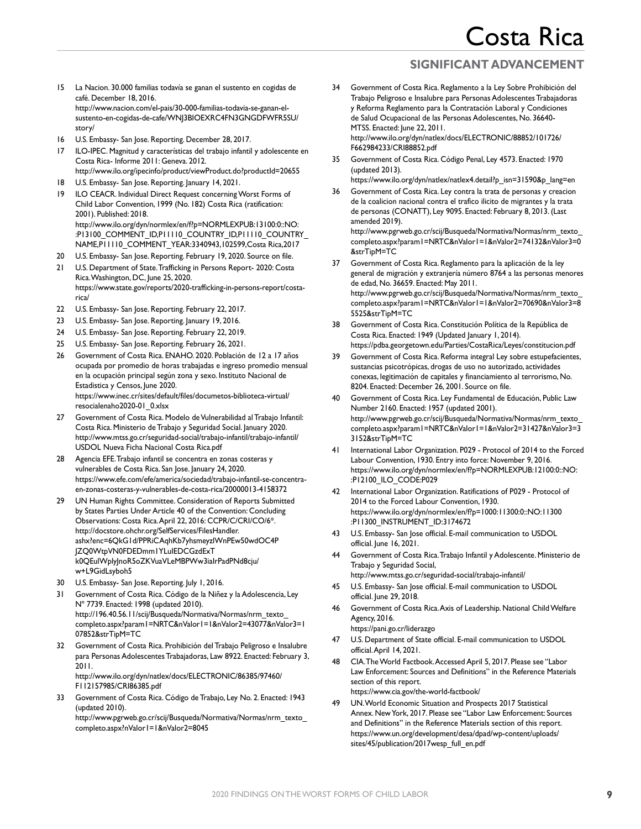- 15 La Nacion. 30.000 familias todavía se ganan el sustento en cogidas de café. December 18, 2016. [http://www.nacion.com/el-pais/30-000-familias-todavia-se-ganan-el](http://www.nacion.com/el-pais/30-000-familias-todavia-se-ganan-el-sustento-en-cogidas-de-cafe/WNJ3BIOEXRC4FN3GNGDFWFR5SU/story/)[sustento-en-cogidas-de-cafe/WNJ3BIOEXRC4FN3GNGDFWFR5SU/](http://www.nacion.com/el-pais/30-000-familias-todavia-se-ganan-el-sustento-en-cogidas-de-cafe/WNJ3BIOEXRC4FN3GNGDFWFR5SU/story/) [story/](http://www.nacion.com/el-pais/30-000-familias-todavia-se-ganan-el-sustento-en-cogidas-de-cafe/WNJ3BIOEXRC4FN3GNGDFWFR5SU/story/)
- 16 U.S. Embassy- San Jose. Reporting. December 28, 2017.
- 17 ILO-IPEC. Magnitud y características del trabajo infantil y adolescente en Costa Rica- Informe 2011: Geneva. 2012. <http://www.ilo.org/ipecinfo/product/viewProduct.do?productId=20655>
- 18 U.S. Embassy- San Jose. Reporting. January 14, 2021.
- 19 ILO CEACR. Individual Direct Request concerning Worst Forms of Child Labor Convention, 1999 (No. 182) Costa Rica (ratification: 2001). Published: 2018. [http://www.ilo.org/dyn/normlex/en/f?p=NORMLEXPUB:13100:0::NO:](http://www.ilo.org/dyn/normlex/en/f?p=NORMLEXPUB:13100:0::NO::P13100_COMMENT_ID,P11110_COUNTRY_ID,P11110_COUNTRY_NAME,P11110_COMMENT_YEAR:3340943,102599,Costa%20Rica,2017) [:P13100\\_COMMENT\\_ID,P11110\\_COUNTRY\\_ID,P11110\\_COUNTRY\\_](http://www.ilo.org/dyn/normlex/en/f?p=NORMLEXPUB:13100:0::NO::P13100_COMMENT_ID,P11110_COUNTRY_ID,P11110_COUNTRY_NAME,P11110_COMMENT_YEAR:3340943,102599,Costa%20Rica,2017) [NAME,P11110\\_COMMENT\\_YEAR:3340943,102599,Costa Rica,2017](http://www.ilo.org/dyn/normlex/en/f?p=NORMLEXPUB:13100:0::NO::P13100_COMMENT_ID,P11110_COUNTRY_ID,P11110_COUNTRY_NAME,P11110_COMMENT_YEAR:3340943,102599,Costa%20Rica,2017)
- 20 U.S. Embassy- San Jose. Reporting. February 19, 2020. Source on file. 21 U.S. Department of State. Trafficking in Persons Report- 2020: Costa
- Rica. Washington, DC, June 25, 2020. [https://www.state.gov/reports/2020-trafficking-in-persons-report/costa](https://www.state.gov/reports/2020-trafficking-in-persons-report/costa-rica/)[rica/](https://www.state.gov/reports/2020-trafficking-in-persons-report/costa-rica/)
- 22 U.S. Embassy- San Jose. Reporting. February 22, 2017.
- 23 U.S. Embassy- San Jose. Reporting. January 19, 2016.
- 24 U.S. Embassy- San Jose. Reporting. February 22, 2019.
- 25 U.S. Embassy- San Jose. Reporting. February 26, 2021.
- 26 Government of Costa Rica. ENAHO. 2020. Población de 12 a 17 años ocupada por promedio de horas trabajadas e ingreso promedio mensual en la ocupación principal según zona y sexo. Instituto Nacional de Estadistica y Censos, June 2020. [https://www.inec.cr/sites/default/files/documetos-biblioteca-virtual/](https://www.inec.cr/sites/default/files/documetos-biblioteca-virtual/resocialenaho2020-01_0.xlsx) [resocialenaho2020-01\\_0.xlsx](https://www.inec.cr/sites/default/files/documetos-biblioteca-virtual/resocialenaho2020-01_0.xlsx)
- 27 Government of Costa Rica. Modelo de Vulnerabilidad al Trabajo Infantil: Costa Rica. Ministerio de Trabajo y Seguridad Social. January 2020. [http://www.mtss.go.cr/seguridad-social/trabajo-infantil/trabajo-infantil/](http://www.mtss.go.cr/seguridad-social/trabajo-infantil/trabajo-infantil/USDOL%20Nueva%20Ficha%20Nacional%20Costa%20Rica.pdf) [USDOL Nueva Ficha Nacional Costa Rica.pdf](http://www.mtss.go.cr/seguridad-social/trabajo-infantil/trabajo-infantil/USDOL%20Nueva%20Ficha%20Nacional%20Costa%20Rica.pdf)
- 28 Agencia EFE. Trabajo infantil se concentra en zonas costeras y vulnerables de Costa Rica. San Jose. January 24, 2020. [https://www.efe.com/efe/america/sociedad/trabajo-infantil-se-concentra](https://www.efe.com/efe/america/sociedad/trabajo-infantil-se-concentra-en-zonas-costeras-y-vulnerables-de-costa-rica/20000013-4158372)[en-zonas-costeras-y-vulnerables-de-costa-rica/20000013-4158372](https://www.efe.com/efe/america/sociedad/trabajo-infantil-se-concentra-en-zonas-costeras-y-vulnerables-de-costa-rica/20000013-4158372)
- 29 UN Human Rights Committee. Consideration of Reports Submitted by States Parties Under Article 40 of the Convention: Concluding Observations: Costa Rica. April 22, 2016: CCPR/C/CRI/CO/6\*. [http://docstore.ohchr.org/SelfServices/FilesHandler.](http://docstore.ohchr.org/SelfServices/FilesHandler.ashx?enc=6QkG1d/PPRiCAqhKb7yhsmeyzlWnPEw50wdOC4PJZQ0WtpVN0FDEDmm1YLuIEDCGzdExTk0QEulWplyJnoR5oZKVuaVLeMBPWw3iaIrPadPNd8cju/w+L9GidLsyboh5) [ashx?enc=6QkG1d/PPRiCAqhKb7yhsmeyzlWnPEw50wdOC4P](http://docstore.ohchr.org/SelfServices/FilesHandler.ashx?enc=6QkG1d/PPRiCAqhKb7yhsmeyzlWnPEw50wdOC4PJZQ0WtpVN0FDEDmm1YLuIEDCGzdExTk0QEulWplyJnoR5oZKVuaVLeMBPWw3iaIrPadPNd8cju/w+L9GidLsyboh5)  [JZQ0WtpVN0FDEDmm1YLuIEDCGzdExT](http://docstore.ohchr.org/SelfServices/FilesHandler.ashx?enc=6QkG1d/PPRiCAqhKb7yhsmeyzlWnPEw50wdOC4PJZQ0WtpVN0FDEDmm1YLuIEDCGzdExTk0QEulWplyJnoR5oZKVuaVLeMBPWw3iaIrPadPNd8cju/w+L9GidLsyboh5)  [k0QEulWplyJnoR5oZKVuaVLeMBPWw3iaIrPadPNd8cju/](http://docstore.ohchr.org/SelfServices/FilesHandler.ashx?enc=6QkG1d/PPRiCAqhKb7yhsmeyzlWnPEw50wdOC4PJZQ0WtpVN0FDEDmm1YLuIEDCGzdExTk0QEulWplyJnoR5oZKVuaVLeMBPWw3iaIrPadPNd8cju/w+L9GidLsyboh5) [w+L9GidLsyboh5](http://docstore.ohchr.org/SelfServices/FilesHandler.ashx?enc=6QkG1d/PPRiCAqhKb7yhsmeyzlWnPEw50wdOC4PJZQ0WtpVN0FDEDmm1YLuIEDCGzdExTk0QEulWplyJnoR5oZKVuaVLeMBPWw3iaIrPadPNd8cju/w+L9GidLsyboh5)
- 30 U.S. Embassy- San Jose. Reporting. July 1, 2016.
- 31 Government of Costa Rica. Código de la Niñez y la Adolescencia, Ley Nº 7739. Enacted: 1998 (updated 2010). [http://196.40.56.11/scij/Busqueda/Normativa/Normas/nrm\\_texto\\_](http://196.40.56.11/scij/Busqueda/Normativa/Normas/nrm_texto_completo.aspx?param1=NRTC&nValor1=1&nValor2=43077&nValor3=107852&strTipM=TC) [completo.aspx?param1=NRTC&nValor1=1&nValor2=43077&nValor3=1](http://196.40.56.11/scij/Busqueda/Normativa/Normas/nrm_texto_completo.aspx?param1=NRTC&nValor1=1&nValor2=43077&nValor3=107852&strTipM=TC) [07852&strTipM=TC](http://196.40.56.11/scij/Busqueda/Normativa/Normas/nrm_texto_completo.aspx?param1=NRTC&nValor1=1&nValor2=43077&nValor3=107852&strTipM=TC)
- 32 Government of Costa Rica. Prohibición del Trabajo Peligroso e Insalubre para Personas Adolescentes Trabajadoras, Law 8922. Enacted: February 3, 2011. [http://www.ilo.org/dyn/natlex/docs/ELECTRONIC/86385/97460/](http://www.ilo.org/dyn/natlex/docs/ELECTRONIC/86385/97460/F112157985/CRI86385.pdf)

[F112157985/CRI86385.pdf](http://www.ilo.org/dyn/natlex/docs/ELECTRONIC/86385/97460/F112157985/CRI86385.pdf)

33 Government of Costa Rica. Código de Trabajo, Ley No. 2. Enacted: 1943 (updated 2010).

http://www.pgrweb.go.cr/scij/Busqueda/Normativa/Normas/nrm\_texto\_ completo.aspx?nValor1=1&nValor2=8045

- 34 Government of Costa Rica. Reglamento a la Ley Sobre Prohibición del Trabajo Peligroso e Insalubre para Personas Adolescentes Trabajadoras y Reforma Reglamento para la Contratación Laboral y Condiciones de Salud Ocupacional de las Personas Adolescentes, No. 36640- MTSS. Enacted: June 22, 2011. [http://www.ilo.org/dyn/natlex/docs/ELECTRONIC/88852/101726/](http://www.ilo.org/dyn/natlex/docs/ELECTRONIC/88852/101726/F662984233/CRI88852.pdf) [F662984233/CRI88852.pdf](http://www.ilo.org/dyn/natlex/docs/ELECTRONIC/88852/101726/F662984233/CRI88852.pdf)
- 35 Government of Costa Rica. Código Penal, Ley 4573. Enacted: 1970 (updated 2013).
	- [https://www.ilo.org/dyn/natlex/natlex4.detail?p\\_isn=31590&p\\_lang=en](https://www.ilo.org/dyn/natlex/natlex4.detail?p_isn=31590&p_lang=en)
- 36 Government of Costa Rica. Ley contra la trata de personas y creacion de la coalicion nacional contra el trafico ilicito de migrantes y la trata de personas (CONATT), Ley 9095. Enacted: February 8, 2013. (Last amended 2019). [http://www.pgrweb.go.cr/scij/Busqueda/Normativa/Normas/nrm\\_texto\\_](http://www.pgrweb.go.cr/scij/Busqueda/Normativa/Normas/nrm_texto_completo.aspx?param1=NRTC&nValor1=1&nValor2=74132&nValor3=0&strTipM=TC)

[completo.aspx?param1=NRTC&nValor1=1&nValor2=74132&nValor3=0](http://www.pgrweb.go.cr/scij/Busqueda/Normativa/Normas/nrm_texto_completo.aspx?param1=NRTC&nValor1=1&nValor2=74132&nValor3=0&strTipM=TC) [&strTipM=TC](http://www.pgrweb.go.cr/scij/Busqueda/Normativa/Normas/nrm_texto_completo.aspx?param1=NRTC&nValor1=1&nValor2=74132&nValor3=0&strTipM=TC)

- 37 Government of Costa Rica. Reglamento para la aplicación de la ley general de migración y extranjería número 8764 a las personas menores de edad, No. 36659. Enacted: May 2011. [http://www.pgrweb.go.cr/scij/Busqueda/Normativa/Normas/nrm\\_texto\\_](http://www.pgrweb.go.cr/scij/Busqueda/Normativa/Normas/nrm_texto_completo.aspx?param1=NRTC&nValor1=1&nValor2=70690&nValor3=85525&strTipM=TC) [completo.aspx?param1=NRTC&nValor1=1&nValor2=70690&nValor3=8](http://www.pgrweb.go.cr/scij/Busqueda/Normativa/Normas/nrm_texto_completo.aspx?param1=NRTC&nValor1=1&nValor2=70690&nValor3=85525&strTipM=TC) [5525&strTipM=TC](http://www.pgrweb.go.cr/scij/Busqueda/Normativa/Normas/nrm_texto_completo.aspx?param1=NRTC&nValor1=1&nValor2=70690&nValor3=85525&strTipM=TC)
- 38 Government of Costa Rica. Constitución Política de la República de Costa Rica. Enacted: 1949 (Updated January 1, 2014). <https://pdba.georgetown.edu/Parties/CostaRica/Leyes/constitucion.pdf>
- 39 Government of Costa Rica. Reforma integral Ley sobre estupefacientes, sustancias psicotrópicas, drogas de uso no autorizado, actividades conexas, legitimación de capitales y financiamiento al terrorismo, No. 8204. Enacted: December 26, 2001. Source on file.
- 40 Government of Costa Rica. Ley Fundamental de Educación, Public Law Number 2160. Enacted: 1957 (updated 2001). [http://www.pgrweb.go.cr/scij/Busqueda/Normativa/Normas/nrm\\_texto\\_](http://www.pgrweb.go.cr/scij/Busqueda/Normativa/Normas/nrm_texto_completo.aspx?param1=NRTC&nValor1=1&nValor2=31427&nValor3=33152&strTipM=TC) [completo.aspx?param1=NRTC&nValor1=1&nValor2=31427&nValor3=3](http://www.pgrweb.go.cr/scij/Busqueda/Normativa/Normas/nrm_texto_completo.aspx?param1=NRTC&nValor1=1&nValor2=31427&nValor3=33152&strTipM=TC) [3152&strTipM=TC](http://www.pgrweb.go.cr/scij/Busqueda/Normativa/Normas/nrm_texto_completo.aspx?param1=NRTC&nValor1=1&nValor2=31427&nValor3=33152&strTipM=TC)
- 41 International Labor Organization. P029 Protocol of 2014 to the Forced Labour Convention, 1930. Entry into force: November 9, 2016. [https://www.ilo.org/dyn/normlex/en/f?p=NORMLEXPUB:12100:0::NO:](https://www.ilo.org/dyn/normlex/en/f?p=NORMLEXPUB:12100:0::NO::P12100_ILO_CODE:P029) [:P12100\\_ILO\\_CODE:P029](https://www.ilo.org/dyn/normlex/en/f?p=NORMLEXPUB:12100:0::NO::P12100_ILO_CODE:P029)
- 42 International Labor Organization. Ratifications of P029 Protocol of 2014 to the Forced Labour Convention, 1930. [https://www.ilo.org/dyn/normlex/en/f?p=1000:11300:0::NO:11300](https://www.ilo.org/dyn/normlex/en/f?p=1000:11300:0::NO:11300:P11300_INSTRUMENT_ID:3174672) [:P11300\\_INSTRUMENT\\_ID:3174672](https://www.ilo.org/dyn/normlex/en/f?p=1000:11300:0::NO:11300:P11300_INSTRUMENT_ID:3174672)
- 43 U.S. Embassy- San Jose official. E-mail communication to USDOL official. June 16, 2021.
- 44 Government of Costa Rica. Trabajo Infantil y Adolescente. Ministerio de Trabajo y Seguridad Social, <http://www.mtss.go.cr/seguridad-social/trabajo-infantil/>
- 45 U.S. Embassy- San Jose official. E-mail communication to USDOL official. June 29, 2018.
- 46 Government of Costa Rica. Axis of Leadership. National Child Welfare Agency, 2016. <https://pani.go.cr/liderazgo>
- 47 U.S. Department of State official. E-mail communication to USDOL official. April 14, 2021.
- 48 CIA. The World Factbook. Accessed April 5, 2017. Please see "Labor Law Enforcement: Sources and Definitions" in the Reference Materials section of this report. <https://www.cia.gov/the-world-factbook/>
- 49 UN. World Economic Situation and Prospects 2017 Statistical Annex. New York, 2017. Please see "Labor Law Enforcement: Sources and Definitions" in the Reference Materials section of this report. [https://www.un.org/development/desa/dpad/wp-content/uploads/](https://www.un.org/development/desa/dpad/wp-content/uploads/sites/45/publication/2017wesp_full_en.pdf) [sites/45/publication/2017wesp\\_full\\_en.pdf](https://www.un.org/development/desa/dpad/wp-content/uploads/sites/45/publication/2017wesp_full_en.pdf)